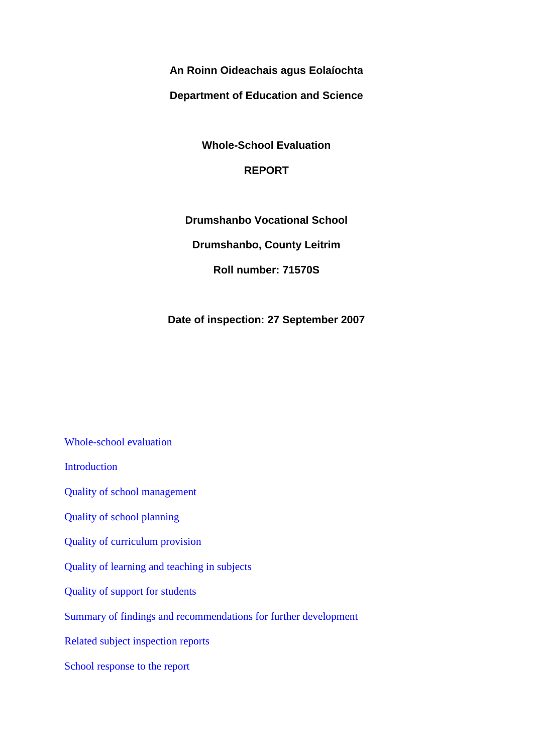**An Roinn Oideachais agus Eolaíochta**

**Department of Education and Science**

**Whole-School Evaluation**

# **REPORT**

**Drumshanbo Vocational School**

**Drumshanbo, County Leitrim**

**Roll number: 71570S**

**Date of inspection: 27 September 2007**

[Whole-school evaluation](http://www.education.ie/en/Publications/Inspection-Reports-Publications/Whole-School-Evaluation-Reports-List/report2_71570S.htm#_Toc209520250) [Introduction](http://www.education.ie/en/Publications/Inspection-Reports-Publications/Whole-School-Evaluation-Reports-List/report2_71570S.htm#_Toc209520251) [Quality of school management](http://www.education.ie/en/Publications/Inspection-Reports-Publications/Whole-School-Evaluation-Reports-List/report2_71570S.htm#_Toc209520252) [Quality of school planning](http://www.education.ie/en/Publications/Inspection-Reports-Publications/Whole-School-Evaluation-Reports-List/report2_71570S.htm#_Toc209520253) [Quality of curriculum provision](http://www.education.ie/en/Publications/Inspection-Reports-Publications/Whole-School-Evaluation-Reports-List/report2_71570S.htm#_Toc209520254) [Quality of learning and teaching in subjects](http://www.education.ie/en/Publications/Inspection-Reports-Publications/Whole-School-Evaluation-Reports-List/report2_71570S.htm#_Toc209520255) [Quality of support for students](http://www.education.ie/en/Publications/Inspection-Reports-Publications/Whole-School-Evaluation-Reports-List/report2_71570S.htm#_Toc209520256) [Summary of findings and recommendations for further development](http://www.education.ie/en/Publications/Inspection-Reports-Publications/Whole-School-Evaluation-Reports-List/report2_71570S.htm#_Toc209520257) [Related subject inspection reports](http://www.education.ie/en/Publications/Inspection-Reports-Publications/Whole-School-Evaluation-Reports-List/report2_71570S.htm#_Toc209520258) [School response to the report](http://www.education.ie/en/Publications/Inspection-Reports-Publications/Whole-School-Evaluation-Reports-List/report2_71570S.htm#_Toc209520259)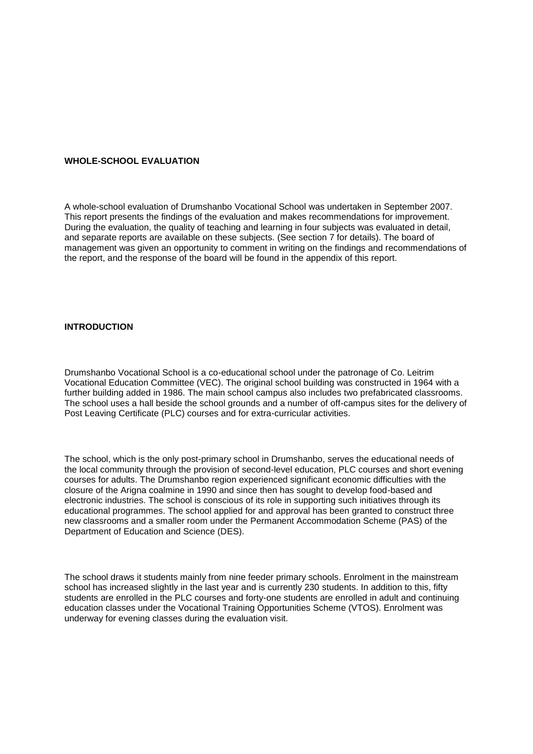#### **WHOLE-SCHOOL EVALUATION**

A whole-school evaluation of Drumshanbo Vocational School was undertaken in September 2007. This report presents the findings of the evaluation and makes recommendations for improvement. During the evaluation, the quality of teaching and learning in four subjects was evaluated in detail, and separate reports are available on these subjects. (See section 7 for details). The board of management was given an opportunity to comment in writing on the findings and recommendations of the report, and the response of the board will be found in the appendix of this report.

#### **INTRODUCTION**

Drumshanbo Vocational School is a co-educational school under the patronage of Co. Leitrim Vocational Education Committee (VEC). The original school building was constructed in 1964 with a further building added in 1986. The main school campus also includes two prefabricated classrooms. The school uses a hall beside the school grounds and a number of off-campus sites for the delivery of Post Leaving Certificate (PLC) courses and for extra-curricular activities.

The school, which is the only post-primary school in Drumshanbo, serves the educational needs of the local community through the provision of second-level education, PLC courses and short evening courses for adults. The Drumshanbo region experienced significant economic difficulties with the closure of the Arigna coalmine in 1990 and since then has sought to develop food-based and electronic industries. The school is conscious of its role in supporting such initiatives through its educational programmes. The school applied for and approval has been granted to construct three new classrooms and a smaller room under the Permanent Accommodation Scheme (PAS) of the Department of Education and Science (DES).

The school draws it students mainly from nine feeder primary schools. Enrolment in the mainstream school has increased slightly in the last year and is currently 230 students. In addition to this, fifty students are enrolled in the PLC courses and forty-one students are enrolled in adult and continuing education classes under the Vocational Training Opportunities Scheme (VTOS). Enrolment was underway for evening classes during the evaluation visit.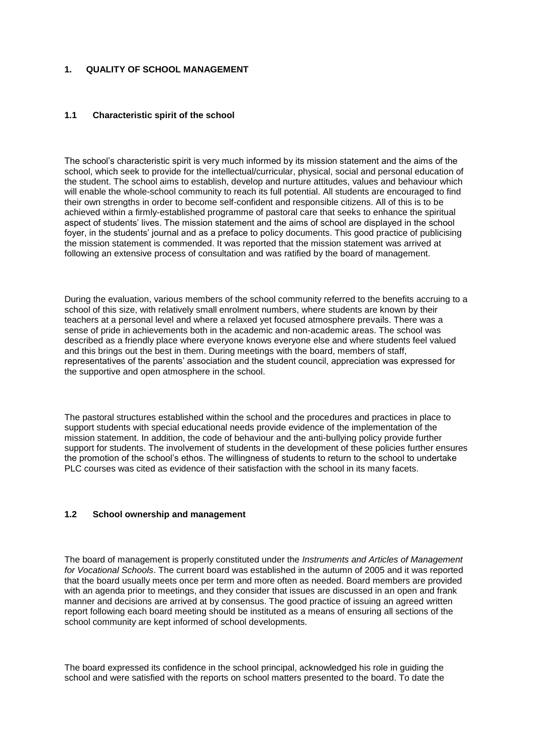### **1. QUALITY OF SCHOOL MANAGEMENT**

#### **1.1 Characteristic spirit of the school**

The school's characteristic spirit is very much informed by its mission statement and the aims of the school, which seek to provide for the intellectual/curricular, physical, social and personal education of the student. The school aims to establish, develop and nurture attitudes, values and behaviour which will enable the whole-school community to reach its full potential. All students are encouraged to find their own strengths in order to become self-confident and responsible citizens. All of this is to be achieved within a firmly-established programme of pastoral care that seeks to enhance the spiritual aspect of students' lives. The mission statement and the aims of school are displayed in the school foyer, in the students' journal and as a preface to policy documents. This good practice of publicising the mission statement is commended. It was reported that the mission statement was arrived at following an extensive process of consultation and was ratified by the board of management.

During the evaluation, various members of the school community referred to the benefits accruing to a school of this size, with relatively small enrolment numbers, where students are known by their teachers at a personal level and where a relaxed yet focused atmosphere prevails. There was a sense of pride in achievements both in the academic and non-academic areas. The school was described as a friendly place where everyone knows everyone else and where students feel valued and this brings out the best in them. During meetings with the board, members of staff, representatives of the parents' association and the student council, appreciation was expressed for the supportive and open atmosphere in the school.

The pastoral structures established within the school and the procedures and practices in place to support students with special educational needs provide evidence of the implementation of the mission statement. In addition, the code of behaviour and the anti-bullying policy provide further support for students. The involvement of students in the development of these policies further ensures the promotion of the school's ethos. The willingness of students to return to the school to undertake PLC courses was cited as evidence of their satisfaction with the school in its many facets.

#### **1.2 School ownership and management**

The board of management is properly constituted under the *Instruments and Articles of Management for Vocational Schools*. The current board was established in the autumn of 2005 and it was reported that the board usually meets once per term and more often as needed. Board members are provided with an agenda prior to meetings, and they consider that issues are discussed in an open and frank manner and decisions are arrived at by consensus. The good practice of issuing an agreed written report following each board meeting should be instituted as a means of ensuring all sections of the school community are kept informed of school developments.

The board expressed its confidence in the school principal, acknowledged his role in guiding the school and were satisfied with the reports on school matters presented to the board. To date the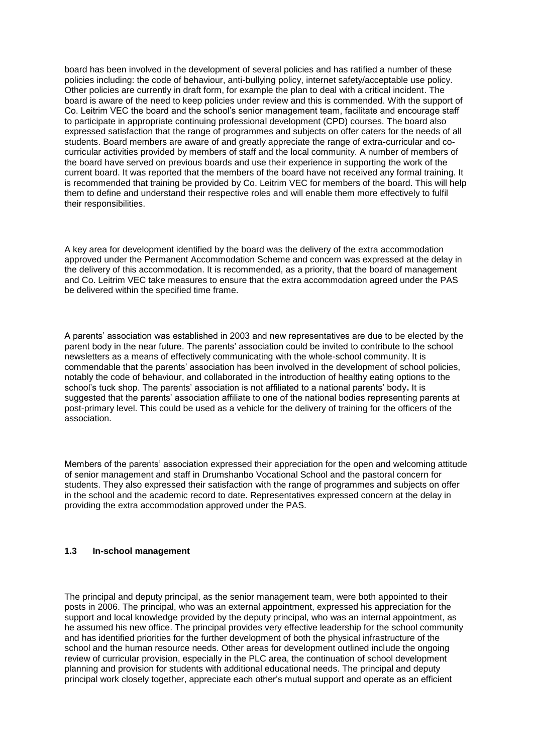board has been involved in the development of several policies and has ratified a number of these policies including: the code of behaviour, anti-bullying policy, internet safety/acceptable use policy. Other policies are currently in draft form, for example the plan to deal with a critical incident. The board is aware of the need to keep policies under review and this is commended. With the support of Co. Leitrim VEC the board and the school's senior management team, facilitate and encourage staff to participate in appropriate continuing professional development (CPD) courses. The board also expressed satisfaction that the range of programmes and subjects on offer caters for the needs of all students. Board members are aware of and greatly appreciate the range of extra-curricular and cocurricular activities provided by members of staff and the local community. A number of members of the board have served on previous boards and use their experience in supporting the work of the current board. It was reported that the members of the board have not received any formal training. It is recommended that training be provided by Co. Leitrim VEC for members of the board. This will help them to define and understand their respective roles and will enable them more effectively to fulfil their responsibilities.

A key area for development identified by the board was the delivery of the extra accommodation approved under the Permanent Accommodation Scheme and concern was expressed at the delay in the delivery of this accommodation. It is recommended, as a priority, that the board of management and Co. Leitrim VEC take measures to ensure that the extra accommodation agreed under the PAS be delivered within the specified time frame.

A parents' association was established in 2003 and new representatives are due to be elected by the parent body in the near future. The parents' association could be invited to contribute to the school newsletters as a means of effectively communicating with the whole-school community. It is commendable that the parents' association has been involved in the development of school policies, notably the code of behaviour, and collaborated in the introduction of healthy eating options to the school's tuck shop. The parents' association is not affiliated to a national parents' body**.** It is suggested that the parents' association affiliate to one of the national bodies representing parents at post-primary level. This could be used as a vehicle for the delivery of training for the officers of the association.

Members of the parents' association expressed their appreciation for the open and welcoming attitude of senior management and staff in Drumshanbo Vocational School and the pastoral concern for students. They also expressed their satisfaction with the range of programmes and subjects on offer in the school and the academic record to date. Representatives expressed concern at the delay in providing the extra accommodation approved under the PAS.

#### **1.3 In-school management**

The principal and deputy principal, as the senior management team, were both appointed to their posts in 2006. The principal, who was an external appointment, expressed his appreciation for the support and local knowledge provided by the deputy principal, who was an internal appointment, as he assumed his new office. The principal provides very effective leadership for the school community and has identified priorities for the further development of both the physical infrastructure of the school and the human resource needs. Other areas for development outlined include the ongoing review of curricular provision, especially in the PLC area, the continuation of school development planning and provision for students with additional educational needs. The principal and deputy principal work closely together, appreciate each other's mutual support and operate as an efficient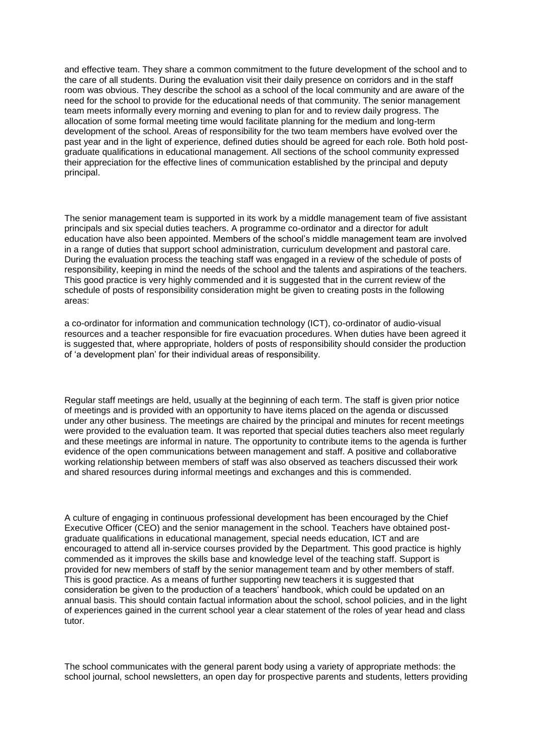and effective team. They share a common commitment to the future development of the school and to the care of all students. During the evaluation visit their daily presence on corridors and in the staff room was obvious. They describe the school as a school of the local community and are aware of the need for the school to provide for the educational needs of that community. The senior management team meets informally every morning and evening to plan for and to review daily progress. The allocation of some formal meeting time would facilitate planning for the medium and long-term development of the school. Areas of responsibility for the two team members have evolved over the past year and in the light of experience, defined duties should be agreed for each role. Both hold postgraduate qualifications in educational management. All sections of the school community expressed their appreciation for the effective lines of communication established by the principal and deputy principal.

The senior management team is supported in its work by a middle management team of five assistant principals and six special duties teachers. A programme co-ordinator and a director for adult education have also been appointed. Members of the school's middle management team are involved in a range of duties that support school administration, curriculum development and pastoral care. During the evaluation process the teaching staff was engaged in a review of the schedule of posts of responsibility, keeping in mind the needs of the school and the talents and aspirations of the teachers. This good practice is very highly commended and it is suggested that in the current review of the schedule of posts of responsibility consideration might be given to creating posts in the following areas:

a co-ordinator for information and communication technology (ICT), co-ordinator of audio-visual resources and a teacher responsible for fire evacuation procedures. When duties have been agreed it is suggested that, where appropriate, holders of posts of responsibility should consider the production of 'a development plan' for their individual areas of responsibility.

Regular staff meetings are held, usually at the beginning of each term. The staff is given prior notice of meetings and is provided with an opportunity to have items placed on the agenda or discussed under any other business. The meetings are chaired by the principal and minutes for recent meetings were provided to the evaluation team. It was reported that special duties teachers also meet regularly and these meetings are informal in nature. The opportunity to contribute items to the agenda is further evidence of the open communications between management and staff. A positive and collaborative working relationship between members of staff was also observed as teachers discussed their work and shared resources during informal meetings and exchanges and this is commended.

A culture of engaging in continuous professional development has been encouraged by the Chief Executive Officer (CEO) and the senior management in the school. Teachers have obtained postgraduate qualifications in educational management, special needs education, ICT and are encouraged to attend all in-service courses provided by the Department. This good practice is highly commended as it improves the skills base and knowledge level of the teaching staff. Support is provided for new members of staff by the senior management team and by other members of staff. This is good practice. As a means of further supporting new teachers it is suggested that consideration be given to the production of a teachers' handbook, which could be updated on an annual basis. This should contain factual information about the school, school policies, and in the light of experiences gained in the current school year a clear statement of the roles of year head and class tutor.

The school communicates with the general parent body using a variety of appropriate methods: the school journal, school newsletters, an open day for prospective parents and students, letters providing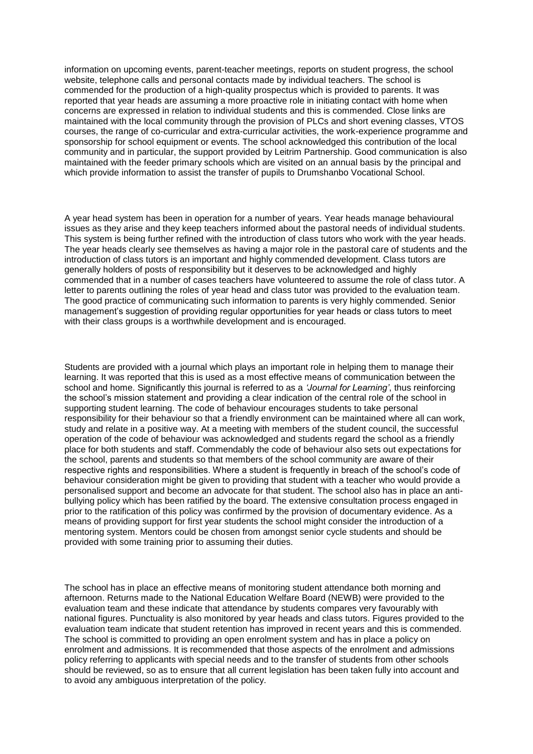information on upcoming events, parent-teacher meetings, reports on student progress, the school website, telephone calls and personal contacts made by individual teachers. The school is commended for the production of a high-quality prospectus which is provided to parents. It was reported that year heads are assuming a more proactive role in initiating contact with home when concerns are expressed in relation to individual students and this is commended. Close links are maintained with the local community through the provision of PLCs and short evening classes, VTOS courses, the range of co-curricular and extra-curricular activities, the work-experience programme and sponsorship for school equipment or events. The school acknowledged this contribution of the local community and in particular, the support provided by Leitrim Partnership. Good communication is also maintained with the feeder primary schools which are visited on an annual basis by the principal and which provide information to assist the transfer of pupils to Drumshanbo Vocational School.

A year head system has been in operation for a number of years. Year heads manage behavioural issues as they arise and they keep teachers informed about the pastoral needs of individual students. This system is being further refined with the introduction of class tutors who work with the year heads. The year heads clearly see themselves as having a major role in the pastoral care of students and the introduction of class tutors is an important and highly commended development. Class tutors are generally holders of posts of responsibility but it deserves to be acknowledged and highly commended that in a number of cases teachers have volunteered to assume the role of class tutor. A letter to parents outlining the roles of year head and class tutor was provided to the evaluation team. The good practice of communicating such information to parents is very highly commended. Senior management's suggestion of providing regular opportunities for year heads or class tutors to meet with their class groups is a worthwhile development and is encouraged.

Students are provided with a journal which plays an important role in helping them to manage their learning. It was reported that this is used as a most effective means of communication between the school and home. Significantly this journal is referred to as a *'Journal for Learning'*, thus reinforcing the school's mission statement and providing a clear indication of the central role of the school in supporting student learning. The code of behaviour encourages students to take personal responsibility for their behaviour so that a friendly environment can be maintained where all can work, study and relate in a positive way. At a meeting with members of the student council, the successful operation of the code of behaviour was acknowledged and students regard the school as a friendly place for both students and staff. Commendably the code of behaviour also sets out expectations for the school, parents and students so that members of the school community are aware of their respective rights and responsibilities. Where a student is frequently in breach of the school's code of behaviour consideration might be given to providing that student with a teacher who would provide a personalised support and become an advocate for that student. The school also has in place an antibullying policy which has been ratified by the board. The extensive consultation process engaged in prior to the ratification of this policy was confirmed by the provision of documentary evidence. As a means of providing support for first year students the school might consider the introduction of a mentoring system. Mentors could be chosen from amongst senior cycle students and should be provided with some training prior to assuming their duties.

The school has in place an effective means of monitoring student attendance both morning and afternoon. Returns made to the National Education Welfare Board (NEWB) were provided to the evaluation team and these indicate that attendance by students compares very favourably with national figures. Punctuality is also monitored by year heads and class tutors. Figures provided to the evaluation team indicate that student retention has improved in recent years and this is commended. The school is committed to providing an open enrolment system and has in place a policy on enrolment and admissions. It is recommended that those aspects of the enrolment and admissions policy referring to applicants with special needs and to the transfer of students from other schools should be reviewed, so as to ensure that all current legislation has been taken fully into account and to avoid any ambiguous interpretation of the policy.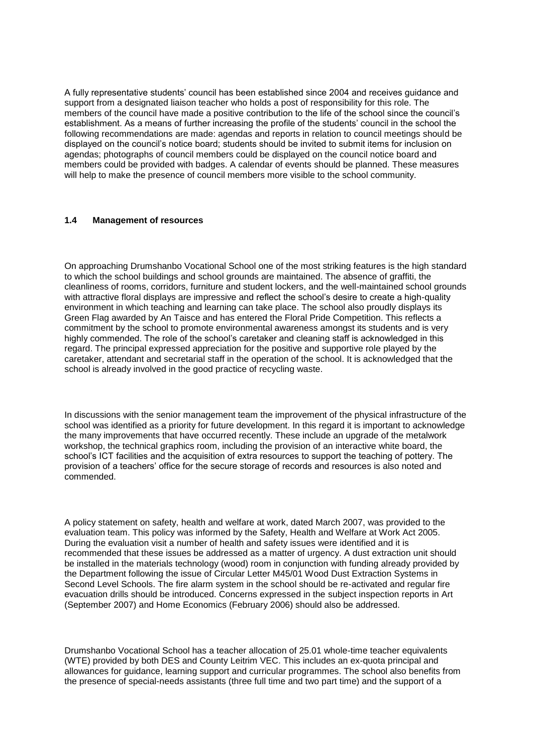A fully representative students' council has been established since 2004 and receives guidance and support from a designated liaison teacher who holds a post of responsibility for this role. The members of the council have made a positive contribution to the life of the school since the council's establishment. As a means of further increasing the profile of the students' council in the school the following recommendations are made: agendas and reports in relation to council meetings should be displayed on the council's notice board; students should be invited to submit items for inclusion on agendas; photographs of council members could be displayed on the council notice board and members could be provided with badges. A calendar of events should be planned. These measures will help to make the presence of council members more visible to the school community.

### **1.4 Management of resources**

On approaching Drumshanbo Vocational School one of the most striking features is the high standard to which the school buildings and school grounds are maintained. The absence of graffiti, the cleanliness of rooms, corridors, furniture and student lockers, and the well-maintained school grounds with attractive floral displays are impressive and reflect the school's desire to create a high-quality environment in which teaching and learning can take place. The school also proudly displays its Green Flag awarded by An Taisce and has entered the Floral Pride Competition. This reflects a commitment by the school to promote environmental awareness amongst its students and is very highly commended. The role of the school's caretaker and cleaning staff is acknowledged in this regard. The principal expressed appreciation for the positive and supportive role played by the caretaker, attendant and secretarial staff in the operation of the school. It is acknowledged that the school is already involved in the good practice of recycling waste.

In discussions with the senior management team the improvement of the physical infrastructure of the school was identified as a priority for future development. In this regard it is important to acknowledge the many improvements that have occurred recently. These include an upgrade of the metalwork workshop, the technical graphics room, including the provision of an interactive white board, the school's ICT facilities and the acquisition of extra resources to support the teaching of pottery. The provision of a teachers' office for the secure storage of records and resources is also noted and commended.

A policy statement on safety, health and welfare at work, dated March 2007, was provided to the evaluation team. This policy was informed by the Safety, Health and Welfare at Work Act 2005. During the evaluation visit a number of health and safety issues were identified and it is recommended that these issues be addressed as a matter of urgency. A dust extraction unit should be installed in the materials technology (wood) room in conjunction with funding already provided by the Department following the issue of Circular Letter M45/01 Wood Dust Extraction Systems in Second Level Schools. The fire alarm system in the school should be re-activated and regular fire evacuation drills should be introduced. Concerns expressed in the subject inspection reports in Art (September 2007) and Home Economics (February 2006) should also be addressed.

Drumshanbo Vocational School has a teacher allocation of 25.01 whole-time teacher equivalents (WTE) provided by both DES and County Leitrim VEC. This includes an ex-quota principal and allowances for guidance, learning support and curricular programmes. The school also benefits from the presence of special-needs assistants (three full time and two part time) and the support of a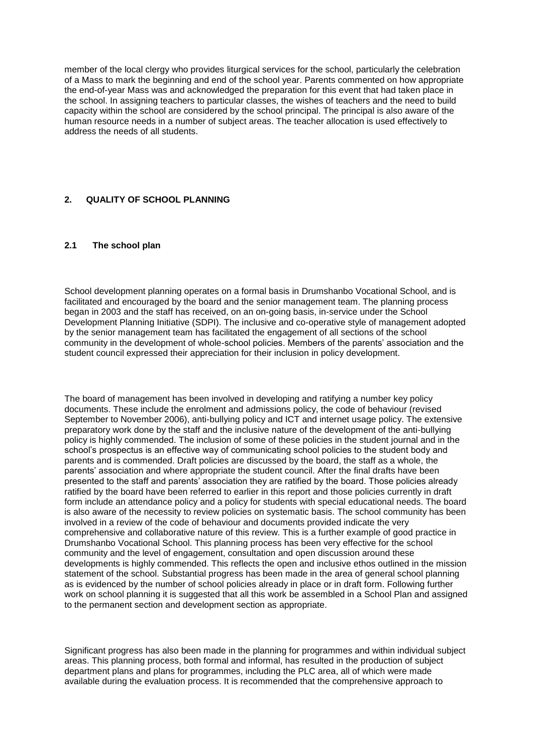member of the local clergy who provides liturgical services for the school, particularly the celebration of a Mass to mark the beginning and end of the school year. Parents commented on how appropriate the end-of-year Mass was and acknowledged the preparation for this event that had taken place in the school. In assigning teachers to particular classes, the wishes of teachers and the need to build capacity within the school are considered by the school principal. The principal is also aware of the human resource needs in a number of subject areas. The teacher allocation is used effectively to address the needs of all students.

### **2. QUALITY OF SCHOOL PLANNING**

#### **2.1 The school plan**

School development planning operates on a formal basis in Drumshanbo Vocational School, and is facilitated and encouraged by the board and the senior management team. The planning process began in 2003 and the staff has received, on an on-going basis, in-service under the School Development Planning Initiative (SDPI). The inclusive and co-operative style of management adopted by the senior management team has facilitated the engagement of all sections of the school community in the development of whole-school policies. Members of the parents' association and the student council expressed their appreciation for their inclusion in policy development.

The board of management has been involved in developing and ratifying a number key policy documents. These include the enrolment and admissions policy, the code of behaviour (revised September to November 2006), anti-bullying policy and ICT and internet usage policy. The extensive preparatory work done by the staff and the inclusive nature of the development of the anti-bullying policy is highly commended. The inclusion of some of these policies in the student journal and in the school's prospectus is an effective way of communicating school policies to the student body and parents and is commended. Draft policies are discussed by the board, the staff as a whole, the parents' association and where appropriate the student council. After the final drafts have been presented to the staff and parents' association they are ratified by the board. Those policies already ratified by the board have been referred to earlier in this report and those policies currently in draft form include an attendance policy and a policy for students with special educational needs. The board is also aware of the necessity to review policies on systematic basis. The school community has been involved in a review of the code of behaviour and documents provided indicate the very comprehensive and collaborative nature of this review. This is a further example of good practice in Drumshanbo Vocational School. This planning process has been very effective for the school community and the level of engagement, consultation and open discussion around these developments is highly commended. This reflects the open and inclusive ethos outlined in the mission statement of the school. Substantial progress has been made in the area of general school planning as is evidenced by the number of school policies already in place or in draft form. Following further work on school planning it is suggested that all this work be assembled in a School Plan and assigned to the permanent section and development section as appropriate.

Significant progress has also been made in the planning for programmes and within individual subject areas. This planning process, both formal and informal, has resulted in the production of subject department plans and plans for programmes, including the PLC area, all of which were made available during the evaluation process. It is recommended that the comprehensive approach to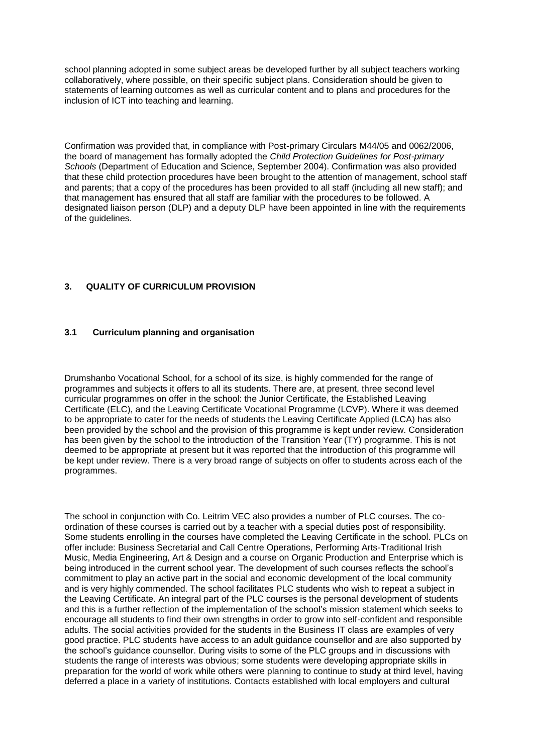school planning adopted in some subject areas be developed further by all subject teachers working collaboratively, where possible, on their specific subject plans. Consideration should be given to statements of learning outcomes as well as curricular content and to plans and procedures for the inclusion of ICT into teaching and learning.

Confirmation was provided that, in compliance with Post-primary Circulars M44/05 and 0062/2006, the board of management has formally adopted the *Child Protection Guidelines for Post-primary Schools* (Department of Education and Science, September 2004). Confirmation was also provided that these child protection procedures have been brought to the attention of management, school staff and parents; that a copy of the procedures has been provided to all staff (including all new staff); and that management has ensured that all staff are familiar with the procedures to be followed. A designated liaison person (DLP) and a deputy DLP have been appointed in line with the requirements of the guidelines.

### **3. QUALITY OF CURRICULUM PROVISION**

### **3.1 Curriculum planning and organisation**

Drumshanbo Vocational School, for a school of its size, is highly commended for the range of programmes and subjects it offers to all its students. There are, at present, three second level curricular programmes on offer in the school: the Junior Certificate, the Established Leaving Certificate (ELC), and the Leaving Certificate Vocational Programme (LCVP). Where it was deemed to be appropriate to cater for the needs of students the Leaving Certificate Applied (LCA) has also been provided by the school and the provision of this programme is kept under review. Consideration has been given by the school to the introduction of the Transition Year (TY) programme. This is not deemed to be appropriate at present but it was reported that the introduction of this programme will be kept under review. There is a very broad range of subjects on offer to students across each of the programmes.

The school in conjunction with Co. Leitrim VEC also provides a number of PLC courses. The coordination of these courses is carried out by a teacher with a special duties post of responsibility. Some students enrolling in the courses have completed the Leaving Certificate in the school. PLCs on offer include: Business Secretarial and Call Centre Operations, Performing Arts-Traditional Irish Music, Media Engineering, Art & Design and a course on Organic Production and Enterprise which is being introduced in the current school year. The development of such courses reflects the school's commitment to play an active part in the social and economic development of the local community and is very highly commended. The school facilitates PLC students who wish to repeat a subject in the Leaving Certificate. An integral part of the PLC courses is the personal development of students and this is a further reflection of the implementation of the school's mission statement which seeks to encourage all students to find their own strengths in order to grow into self-confident and responsible adults. The social activities provided for the students in the Business IT class are examples of very good practice. PLC students have access to an adult guidance counsellor and are also supported by the school's guidance counsellor. During visits to some of the PLC groups and in discussions with students the range of interests was obvious; some students were developing appropriate skills in preparation for the world of work while others were planning to continue to study at third level, having deferred a place in a variety of institutions. Contacts established with local employers and cultural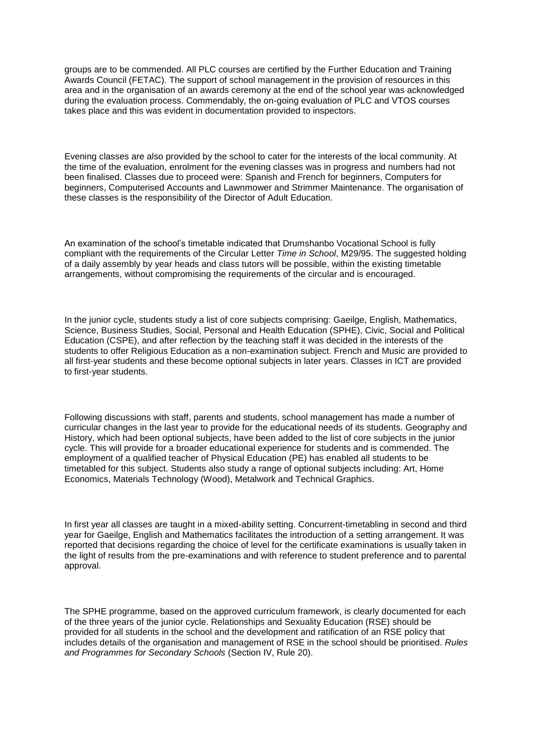groups are to be commended. All PLC courses are certified by the Further Education and Training Awards Council (FETAC). The support of school management in the provision of resources in this area and in the organisation of an awards ceremony at the end of the school year was acknowledged during the evaluation process. Commendably, the on-going evaluation of PLC and VTOS courses takes place and this was evident in documentation provided to inspectors.

Evening classes are also provided by the school to cater for the interests of the local community. At the time of the evaluation, enrolment for the evening classes was in progress and numbers had not been finalised. Classes due to proceed were: Spanish and French for beginners, Computers for beginners, Computerised Accounts and Lawnmower and Strimmer Maintenance. The organisation of these classes is the responsibility of the Director of Adult Education.

An examination of the school's timetable indicated that Drumshanbo Vocational School is fully compliant with the requirements of the Circular Letter *Time in School*, M29/95. The suggested holding of a daily assembly by year heads and class tutors will be possible, within the existing timetable arrangements, without compromising the requirements of the circular and is encouraged.

In the junior cycle, students study a list of core subjects comprising: Gaeilge, English, Mathematics, Science, Business Studies, Social, Personal and Health Education (SPHE), Civic, Social and Political Education (CSPE), and after reflection by the teaching staff it was decided in the interests of the students to offer Religious Education as a non-examination subject. French and Music are provided to all first-year students and these become optional subjects in later years. Classes in ICT are provided to first-year students.

Following discussions with staff, parents and students, school management has made a number of curricular changes in the last year to provide for the educational needs of its students. Geography and History, which had been optional subjects, have been added to the list of core subjects in the junior cycle. This will provide for a broader educational experience for students and is commended. The employment of a qualified teacher of Physical Education (PE) has enabled all students to be timetabled for this subject. Students also study a range of optional subjects including: Art, Home Economics, Materials Technology (Wood), Metalwork and Technical Graphics.

In first year all classes are taught in a mixed-ability setting. Concurrent-timetabling in second and third year for Gaeilge, English and Mathematics facilitates the introduction of a setting arrangement. It was reported that decisions regarding the choice of level for the certificate examinations is usually taken in the light of results from the pre-examinations and with reference to student preference and to parental approval.

The SPHE programme, based on the approved curriculum framework, is clearly documented for each of the three years of the junior cycle. Relationships and Sexuality Education (RSE) should be provided for all students in the school and the development and ratification of an RSE policy that includes details of the organisation and management of RSE in the school should be prioritised. *Rules and Programmes for Secondary Schools* (Section IV, Rule 20).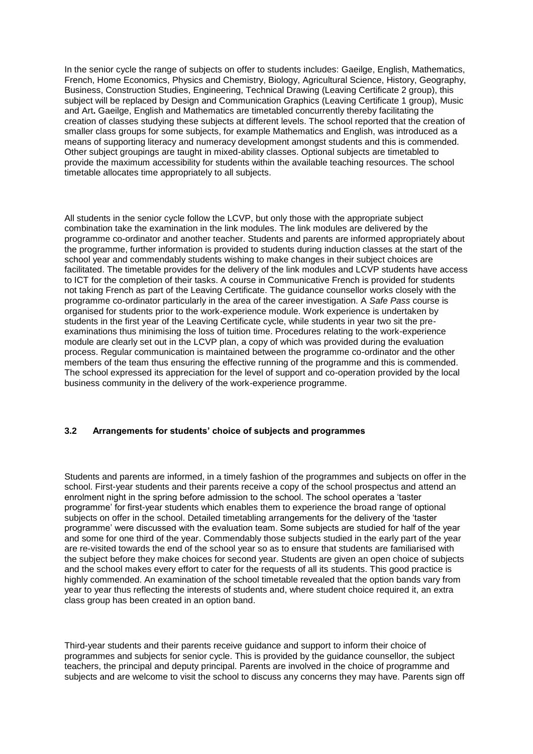In the senior cycle the range of subjects on offer to students includes: Gaeilge, English, Mathematics, French, Home Economics, Physics and Chemistry, Biology, Agricultural Science, History, Geography, Business, Construction Studies, Engineering, Technical Drawing (Leaving Certificate 2 group), this subject will be replaced by Design and Communication Graphics (Leaving Certificate 1 group), Music and Art**.** Gaeilge, English and Mathematics are timetabled concurrently thereby facilitating the creation of classes studying these subjects at different levels. The school reported that the creation of smaller class groups for some subjects, for example Mathematics and English, was introduced as a means of supporting literacy and numeracy development amongst students and this is commended. Other subject groupings are taught in mixed-ability classes. Optional subjects are timetabled to provide the maximum accessibility for students within the available teaching resources. The school timetable allocates time appropriately to all subjects.

All students in the senior cycle follow the LCVP, but only those with the appropriate subject combination take the examination in the link modules. The link modules are delivered by the programme co-ordinator and another teacher. Students and parents are informed appropriately about the programme, further information is provided to students during induction classes at the start of the school year and commendably students wishing to make changes in their subject choices are facilitated. The timetable provides for the delivery of the link modules and LCVP students have access to ICT for the completion of their tasks. A course in Communicative French is provided for students not taking French as part of the Leaving Certificate. The guidance counsellor works closely with the programme co-ordinator particularly in the area of the career investigation. A *Safe Pass* course is organised for students prior to the work-experience module. Work experience is undertaken by students in the first year of the Leaving Certificate cycle, while students in year two sit the preexaminations thus minimising the loss of tuition time. Procedures relating to the work-experience module are clearly set out in the LCVP plan, a copy of which was provided during the evaluation process. Regular communication is maintained between the programme co-ordinator and the other members of the team thus ensuring the effective running of the programme and this is commended. The school expressed its appreciation for the level of support and co-operation provided by the local business community in the delivery of the work-experience programme.

### **3.2 Arrangements for students' choice of subjects and programmes**

Students and parents are informed, in a timely fashion of the programmes and subjects on offer in the school. First-year students and their parents receive a copy of the school prospectus and attend an enrolment night in the spring before admission to the school. The school operates a 'taster programme' for first-year students which enables them to experience the broad range of optional subjects on offer in the school. Detailed timetabling arrangements for the delivery of the 'taster programme' were discussed with the evaluation team. Some subjects are studied for half of the year and some for one third of the year. Commendably those subjects studied in the early part of the year are re-visited towards the end of the school year so as to ensure that students are familiarised with the subject before they make choices for second year. Students are given an open choice of subjects and the school makes every effort to cater for the requests of all its students. This good practice is highly commended. An examination of the school timetable revealed that the option bands vary from year to year thus reflecting the interests of students and, where student choice required it, an extra class group has been created in an option band.

Third-year students and their parents receive guidance and support to inform their choice of programmes and subjects for senior cycle. This is provided by the guidance counsellor, the subject teachers, the principal and deputy principal. Parents are involved in the choice of programme and subjects and are welcome to visit the school to discuss any concerns they may have. Parents sign off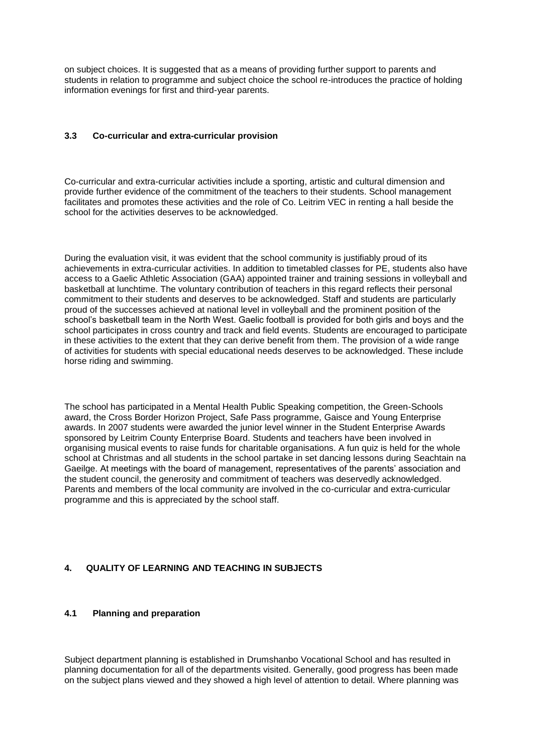on subject choices. It is suggested that as a means of providing further support to parents and students in relation to programme and subject choice the school re-introduces the practice of holding information evenings for first and third-year parents.

#### **3.3 Co-curricular and extra-curricular provision**

Co-curricular and extra-curricular activities include a sporting, artistic and cultural dimension and provide further evidence of the commitment of the teachers to their students. School management facilitates and promotes these activities and the role of Co. Leitrim VEC in renting a hall beside the school for the activities deserves to be acknowledged.

During the evaluation visit, it was evident that the school community is justifiably proud of its achievements in extra-curricular activities. In addition to timetabled classes for PE, students also have access to a Gaelic Athletic Association (GAA) appointed trainer and training sessions in volleyball and basketball at lunchtime. The voluntary contribution of teachers in this regard reflects their personal commitment to their students and deserves to be acknowledged. Staff and students are particularly proud of the successes achieved at national level in volleyball and the prominent position of the school's basketball team in the North West. Gaelic football is provided for both girls and boys and the school participates in cross country and track and field events. Students are encouraged to participate in these activities to the extent that they can derive benefit from them. The provision of a wide range of activities for students with special educational needs deserves to be acknowledged. These include horse riding and swimming.

The school has participated in a Mental Health Public Speaking competition, the Green-Schools award, the Cross Border Horizon Project, Safe Pass programme, Gaisce and Young Enterprise awards. In 2007 students were awarded the junior level winner in the Student Enterprise Awards sponsored by Leitrim County Enterprise Board. Students and teachers have been involved in organising musical events to raise funds for charitable organisations. A fun quiz is held for the whole school at Christmas and all students in the school partake in set dancing lessons during Seachtain na Gaeilge. At meetings with the board of management, representatives of the parents' association and the student council, the generosity and commitment of teachers was deservedly acknowledged. Parents and members of the local community are involved in the co-curricular and extra-curricular programme and this is appreciated by the school staff.

### **4. QUALITY OF LEARNING AND TEACHING IN SUBJECTS**

# **4.1 Planning and preparation**

Subject department planning is established in Drumshanbo Vocational School and has resulted in planning documentation for all of the departments visited. Generally, good progress has been made on the subject plans viewed and they showed a high level of attention to detail. Where planning was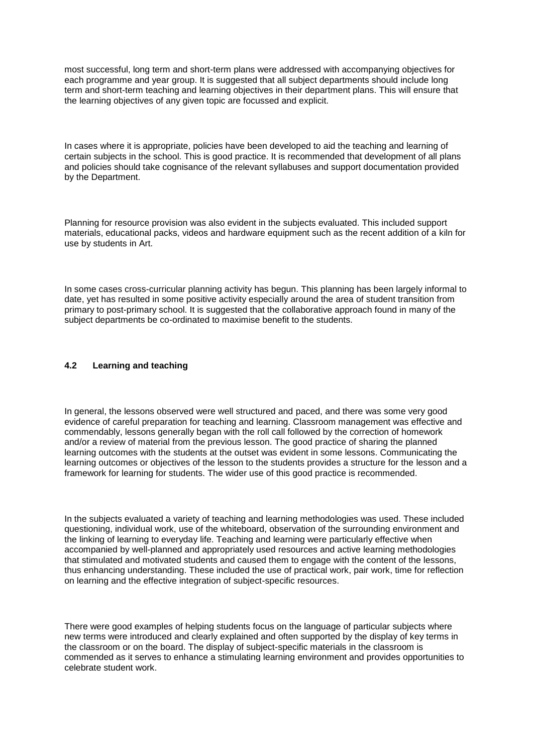most successful, long term and short-term plans were addressed with accompanying objectives for each programme and year group. It is suggested that all subject departments should include long term and short-term teaching and learning objectives in their department plans. This will ensure that the learning objectives of any given topic are focussed and explicit.

In cases where it is appropriate, policies have been developed to aid the teaching and learning of certain subjects in the school. This is good practice. It is recommended that development of all plans and policies should take cognisance of the relevant syllabuses and support documentation provided by the Department.

Planning for resource provision was also evident in the subjects evaluated. This included support materials, educational packs, videos and hardware equipment such as the recent addition of a kiln for use by students in Art.

In some cases cross-curricular planning activity has begun. This planning has been largely informal to date, yet has resulted in some positive activity especially around the area of student transition from primary to post-primary school. It is suggested that the collaborative approach found in many of the subject departments be co-ordinated to maximise benefit to the students.

#### **4.2 Learning and teaching**

In general, the lessons observed were well structured and paced, and there was some very good evidence of careful preparation for teaching and learning. Classroom management was effective and commendably, lessons generally began with the roll call followed by the correction of homework and/or a review of material from the previous lesson. The good practice of sharing the planned learning outcomes with the students at the outset was evident in some lessons. Communicating the learning outcomes or objectives of the lesson to the students provides a structure for the lesson and a framework for learning for students. The wider use of this good practice is recommended.

In the subjects evaluated a variety of teaching and learning methodologies was used. These included questioning, individual work, use of the whiteboard, observation of the surrounding environment and the linking of learning to everyday life. Teaching and learning were particularly effective when accompanied by well-planned and appropriately used resources and active learning methodologies that stimulated and motivated students and caused them to engage with the content of the lessons, thus enhancing understanding. These included the use of practical work, pair work, time for reflection on learning and the effective integration of subject-specific resources.

There were good examples of helping students focus on the language of particular subjects where new terms were introduced and clearly explained and often supported by the display of key terms in the classroom or on the board. The display of subject-specific materials in the classroom is commended as it serves to enhance a stimulating learning environment and provides opportunities to celebrate student work.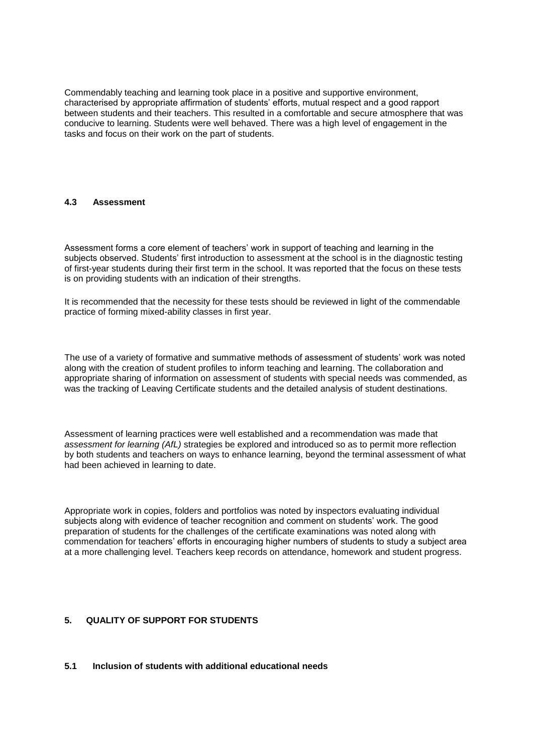Commendably teaching and learning took place in a positive and supportive environment, characterised by appropriate affirmation of students' efforts, mutual respect and a good rapport between students and their teachers. This resulted in a comfortable and secure atmosphere that was conducive to learning. Students were well behaved. There was a high level of engagement in the tasks and focus on their work on the part of students.

#### **4.3 Assessment**

Assessment forms a core element of teachers' work in support of teaching and learning in the subjects observed. Students' first introduction to assessment at the school is in the diagnostic testing of first-year students during their first term in the school. It was reported that the focus on these tests is on providing students with an indication of their strengths.

It is recommended that the necessity for these tests should be reviewed in light of the commendable practice of forming mixed-ability classes in first year.

The use of a variety of formative and summative methods of assessment of students' work was noted along with the creation of student profiles to inform teaching and learning. The collaboration and appropriate sharing of information on assessment of students with special needs was commended, as was the tracking of Leaving Certificate students and the detailed analysis of student destinations.

Assessment of learning practices were well established and a recommendation was made that *assessment for learning (AfL)* strategies be explored and introduced so as to permit more reflection by both students and teachers on ways to enhance learning, beyond the terminal assessment of what had been achieved in learning to date.

Appropriate work in copies, folders and portfolios was noted by inspectors evaluating individual subjects along with evidence of teacher recognition and comment on students' work. The good preparation of students for the challenges of the certificate examinations was noted along with commendation for teachers' efforts in encouraging higher numbers of students to study a subject area at a more challenging level. Teachers keep records on attendance, homework and student progress.

### **5. QUALITY OF SUPPORT FOR STUDENTS**

#### **5.1 Inclusion of students with additional educational needs**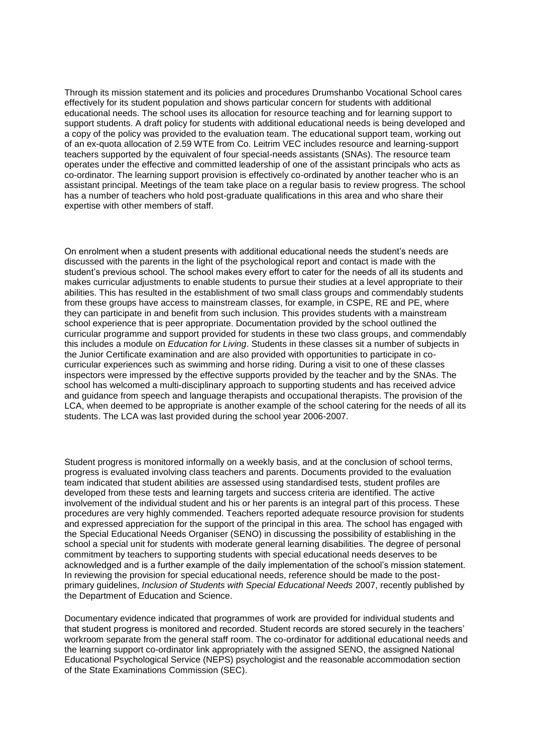Through its mission statement and its policies and procedures Drumshanbo Vocational School cares effectively for its student population and shows particular concern for students with additional educational needs. The school uses its allocation for resource teaching and for learning support to support students. A draft policy for students with additional educational needs is being developed and a copy of the policy was provided to the evaluation team. The educational support team, working out of an ex-quota allocation of 2.59 WTE from Co. Leitrim VEC includes resource and learning-support teachers supported by the equivalent of four special-needs assistants (SNAs). The resource team operates under the effective and committed leadership of one of the assistant principals who acts as co-ordinator. The learning support provision is effectively co-ordinated by another teacher who is an assistant principal. Meetings of the team take place on a regular basis to review progress. The school has a number of teachers who hold post-graduate qualifications in this area and who share their expertise with other members of staff.

On enrolment when a student presents with additional educational needs the student's needs are discussed with the parents in the light of the psychological report and contact is made with the student's previous school. The school makes every effort to cater for the needs of all its students and makes curricular adjustments to enable students to pursue their studies at a level appropriate to their abilities. This has resulted in the establishment of two small class groups and commendably students from these groups have access to mainstream classes, for example, in CSPE, RE and PE, where they can participate in and benefit from such inclusion. This provides students with a mainstream school experience that is peer appropriate. Documentation provided by the school outlined the curricular programme and support provided for students in these two class groups, and commendably this includes a module on *Education for Living*. Students in these classes sit a number of subjects in the Junior Certificate examination and are also provided with opportunities to participate in cocurricular experiences such as swimming and horse riding. During a visit to one of these classes inspectors were impressed by the effective supports provided by the teacher and by the SNAs. The school has welcomed a multi-disciplinary approach to supporting students and has received advice and guidance from speech and language therapists and occupational therapists. The provision of the LCA, when deemed to be appropriate is another example of the school catering for the needs of all its students. The LCA was last provided during the school year 2006-2007.

Student progress is monitored informally on a weekly basis, and at the conclusion of school terms, progress is evaluated involving class teachers and parents. Documents provided to the evaluation team indicated that student abilities are assessed using standardised tests, student profiles are developed from these tests and learning targets and success criteria are identified. The active involvement of the individual student and his or her parents is an integral part of this process. These procedures are very highly commended. Teachers reported adequate resource provision for students and expressed appreciation for the support of the principal in this area. The school has engaged with the Special Educational Needs Organiser (SENO) in discussing the possibility of establishing in the school a special unit for students with moderate general learning disabilities. The degree of personal commitment by teachers to supporting students with special educational needs deserves to be acknowledged and is a further example of the daily implementation of the school's mission statement. In reviewing the provision for special educational needs, reference should be made to the postprimary guidelines, *Inclusion of Students with Special Educational Needs* 2007, recently published by the Department of Education and Science.

Documentary evidence indicated that programmes of work are provided for individual students and that student progress is monitored and recorded. Student records are stored securely in the teachers' workroom separate from the general staff room. The co-ordinator for additional educational needs and the learning support co-ordinator link appropriately with the assigned SENO, the assigned National Educational Psychological Service (NEPS) psychologist and the reasonable accommodation section of the State Examinations Commission (SEC).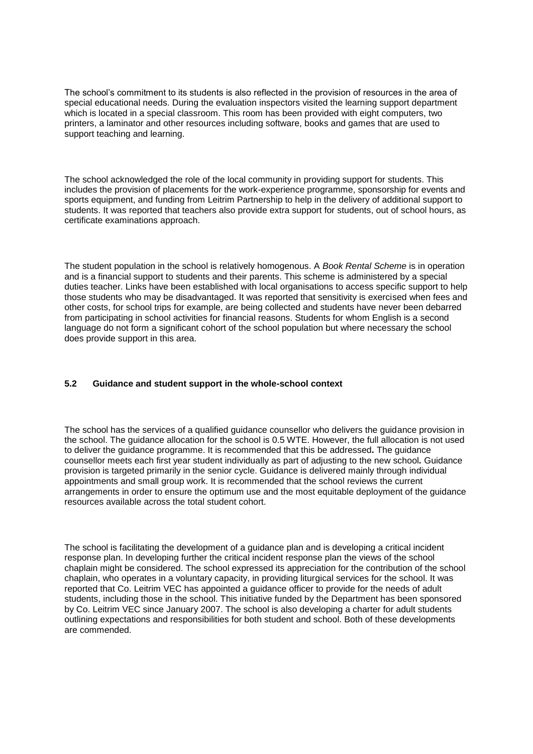The school's commitment to its students is also reflected in the provision of resources in the area of special educational needs. During the evaluation inspectors visited the learning support department which is located in a special classroom. This room has been provided with eight computers, two printers, a laminator and other resources including software, books and games that are used to support teaching and learning.

The school acknowledged the role of the local community in providing support for students. This includes the provision of placements for the work-experience programme, sponsorship for events and sports equipment, and funding from Leitrim Partnership to help in the delivery of additional support to students. It was reported that teachers also provide extra support for students, out of school hours, as certificate examinations approach.

The student population in the school is relatively homogenous. A *Book Rental Scheme* is in operation and is a financial support to students and their parents. This scheme is administered by a special duties teacher. Links have been established with local organisations to access specific support to help those students who may be disadvantaged. It was reported that sensitivity is exercised when fees and other costs, for school trips for example, are being collected and students have never been debarred from participating in school activities for financial reasons. Students for whom English is a second language do not form a significant cohort of the school population but where necessary the school does provide support in this area.

### **5.2 Guidance and student support in the whole-school context**

The school has the services of a qualified guidance counsellor who delivers the guidance provision in the school. The guidance allocation for the school is 0.5 WTE. However, the full allocation is not used to deliver the guidance programme. It is recommended that this be addressed*.* The guidance counsellor meets each first year student individually as part of adjusting to the new school*.* Guidance provision is targeted primarily in the senior cycle. Guidance is delivered mainly through individual appointments and small group work. It is recommended that the school reviews the current arrangements in order to ensure the optimum use and the most equitable deployment of the guidance resources available across the total student cohort.

The school is facilitating the development of a guidance plan and is developing a critical incident response plan. In developing further the critical incident response plan the views of the school chaplain might be considered. The school expressed its appreciation for the contribution of the school chaplain, who operates in a voluntary capacity, in providing liturgical services for the school. It was reported that Co. Leitrim VEC has appointed a guidance officer to provide for the needs of adult students, including those in the school. This initiative funded by the Department has been sponsored by Co. Leitrim VEC since January 2007. The school is also developing a charter for adult students outlining expectations and responsibilities for both student and school. Both of these developments are commended.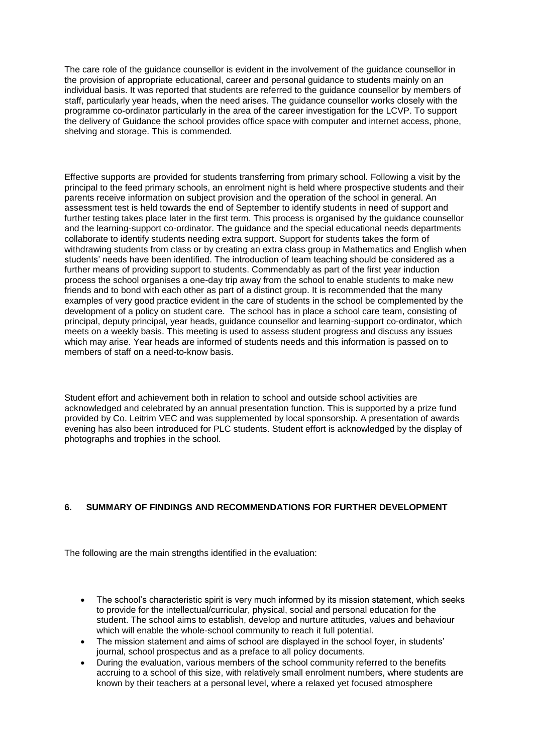The care role of the guidance counsellor is evident in the involvement of the guidance counsellor in the provision of appropriate educational, career and personal guidance to students mainly on an individual basis. It was reported that students are referred to the guidance counsellor by members of staff, particularly year heads, when the need arises. The guidance counsellor works closely with the programme co-ordinator particularly in the area of the career investigation for the LCVP. To support the delivery of Guidance the school provides office space with computer and internet access, phone, shelving and storage. This is commended.

Effective supports are provided for students transferring from primary school. Following a visit by the principal to the feed primary schools, an enrolment night is held where prospective students and their parents receive information on subject provision and the operation of the school in general. An assessment test is held towards the end of September to identify students in need of support and further testing takes place later in the first term. This process is organised by the guidance counsellor and the learning-support co-ordinator. The guidance and the special educational needs departments collaborate to identify students needing extra support. Support for students takes the form of withdrawing students from class or by creating an extra class group in Mathematics and English when students' needs have been identified. The introduction of team teaching should be considered as a further means of providing support to students. Commendably as part of the first year induction process the school organises a one-day trip away from the school to enable students to make new friends and to bond with each other as part of a distinct group. It is recommended that the many examples of very good practice evident in the care of students in the school be complemented by the development of a policy on student care. The school has in place a school care team, consisting of principal, deputy principal, year heads, guidance counsellor and learning-support co-ordinator, which meets on a weekly basis. This meeting is used to assess student progress and discuss any issues which may arise. Year heads are informed of students needs and this information is passed on to members of staff on a need-to-know basis.

Student effort and achievement both in relation to school and outside school activities are acknowledged and celebrated by an annual presentation function. This is supported by a prize fund provided by Co. Leitrim VEC and was supplemented by local sponsorship. A presentation of awards evening has also been introduced for PLC students. Student effort is acknowledged by the display of photographs and trophies in the school.

# **6. SUMMARY OF FINDINGS AND RECOMMENDATIONS FOR FURTHER DEVELOPMENT**

The following are the main strengths identified in the evaluation:

- The school's characteristic spirit is very much informed by its mission statement, which seeks to provide for the intellectual/curricular, physical, social and personal education for the student. The school aims to establish, develop and nurture attitudes, values and behaviour which will enable the whole-school community to reach it full potential.
- The mission statement and aims of school are displayed in the school foyer, in students' journal, school prospectus and as a preface to all policy documents.
- During the evaluation, various members of the school community referred to the benefits accruing to a school of this size, with relatively small enrolment numbers, where students are known by their teachers at a personal level, where a relaxed yet focused atmosphere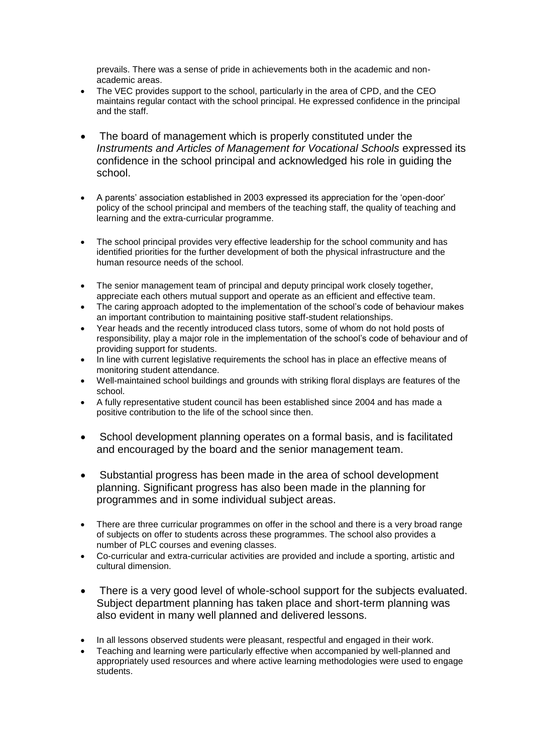prevails. There was a sense of pride in achievements both in the academic and nonacademic areas.

- The VEC provides support to the school, particularly in the area of CPD, and the CEO maintains regular contact with the school principal. He expressed confidence in the principal and the staff.
- The board of management which is properly constituted under the *Instruments and Articles of Management for Vocational Schools expressed its* confidence in the school principal and acknowledged his role in guiding the school.
- A parents' association established in 2003 expressed its appreciation for the 'open-door' policy of the school principal and members of the teaching staff, the quality of teaching and learning and the extra-curricular programme.
- The school principal provides very effective leadership for the school community and has identified priorities for the further development of both the physical infrastructure and the human resource needs of the school.
- The senior management team of principal and deputy principal work closely together, appreciate each others mutual support and operate as an efficient and effective team.
- The caring approach adopted to the implementation of the school's code of behaviour makes an important contribution to maintaining positive staff-student relationships.
- Year heads and the recently introduced class tutors, some of whom do not hold posts of responsibility, play a major role in the implementation of the school's code of behaviour and of providing support for students.
- In line with current legislative requirements the school has in place an effective means of monitoring student attendance.
- Well-maintained school buildings and grounds with striking floral displays are features of the school.
- A fully representative student council has been established since 2004 and has made a positive contribution to the life of the school since then.
- School development planning operates on a formal basis, and is facilitated and encouraged by the board and the senior management team.
- Substantial progress has been made in the area of school development planning. Significant progress has also been made in the planning for programmes and in some individual subject areas.
- There are three curricular programmes on offer in the school and there is a very broad range of subjects on offer to students across these programmes. The school also provides a number of PLC courses and evening classes.
- Co-curricular and extra-curricular activities are provided and include a sporting, artistic and cultural dimension.
- There is a very good level of whole-school support for the subjects evaluated. Subject department planning has taken place and short-term planning was also evident in many well planned and delivered lessons.
- In all lessons observed students were pleasant, respectful and engaged in their work.
- Teaching and learning were particularly effective when accompanied by well-planned and appropriately used resources and where active learning methodologies were used to engage students.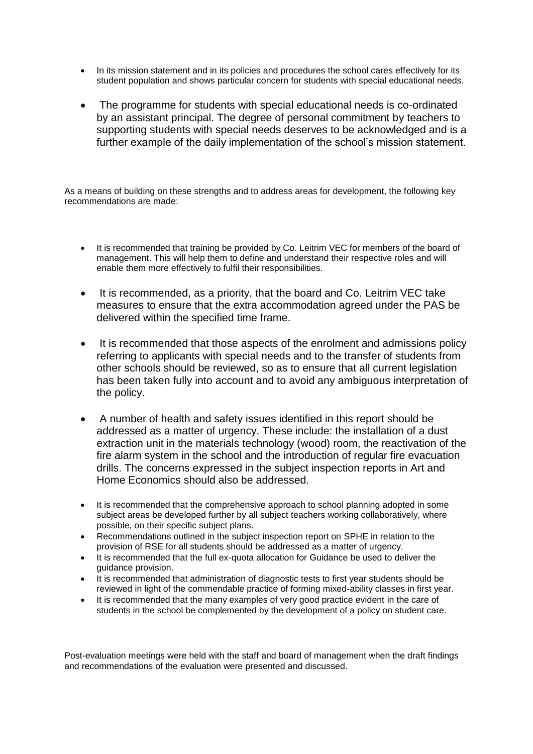- In its mission statement and in its policies and procedures the school cares effectively for its student population and shows particular concern for students with special educational needs.
- The programme for students with special educational needs is co-ordinated by an assistant principal. The degree of personal commitment by teachers to supporting students with special needs deserves to be acknowledged and is a further example of the daily implementation of the school's mission statement.

As a means of building on these strengths and to address areas for development, the following key recommendations are made:

- It is recommended that training be provided by Co. Leitrim VEC for members of the board of management. This will help them to define and understand their respective roles and will enable them more effectively to fulfil their responsibilities.
- It is recommended, as a priority, that the board and Co. Leitrim VEC take measures to ensure that the extra accommodation agreed under the PAS be delivered within the specified time frame.
- It is recommended that those aspects of the enrolment and admissions policy referring to applicants with special needs and to the transfer of students from other schools should be reviewed, so as to ensure that all current legislation has been taken fully into account and to avoid any ambiguous interpretation of the policy.
- A number of health and safety issues identified in this report should be addressed as a matter of urgency. These include: the installation of a dust extraction unit in the materials technology (wood) room, the reactivation of the fire alarm system in the school and the introduction of regular fire evacuation drills. The concerns expressed in the subject inspection reports in Art and Home Economics should also be addressed.
- It is recommended that the comprehensive approach to school planning adopted in some subject areas be developed further by all subject teachers working collaboratively, where possible, on their specific subject plans.
- Recommendations outlined in the subject inspection report on SPHE in relation to the provision of RSE for all students should be addressed as a matter of urgency.
- It is recommended that the full ex-quota allocation for Guidance be used to deliver the guidance provision.
- It is recommended that administration of diagnostic tests to first year students should be reviewed in light of the commendable practice of forming mixed-ability classes in first year.
- It is recommended that the many examples of very good practice evident in the care of students in the school be complemented by the development of a policy on student care.

Post-evaluation meetings were held with the staff and board of management when the draft findings and recommendations of the evaluation were presented and discussed.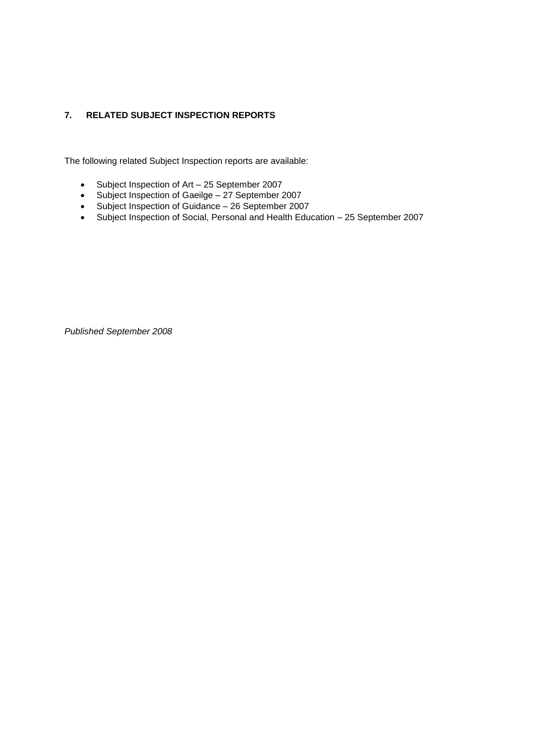# **7. RELATED SUBJECT INSPECTION REPORTS**

The following related Subject Inspection reports are available:

- Subject Inspection of Art 25 September 2007
- Subject Inspection of Gaeilge 27 September 2007
- Subject Inspection of Guidance 26 September 2007
- Subject Inspection of Social, Personal and Health Education 25 September 2007

*Published September 2008*